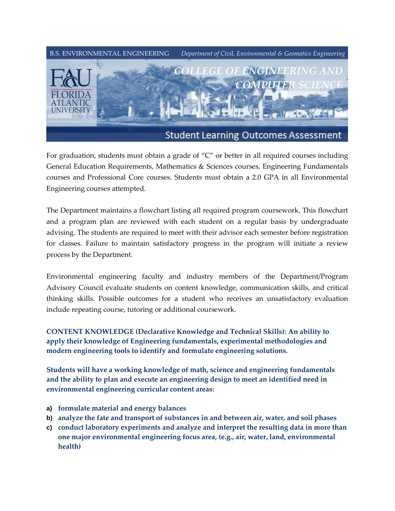

For graduation, students must obtain a grade of "C" or better in all required courses including General Education Requirements, Mathematics & Sciences courses, Engineering Fundamentals courses and Professional Core courses. Students must obtain a 2.0 GPA in all Environmental Engineering courses attempted.

The Department maintains a flowchart listing all required program coursework. This flowchart and a program plan are reviewed with each student on a regular basis by undergraduate advising. The students are required to meet with their advisor each semester before registration for classes. Failure to maintain satisfactory progress in the program will initiate a review process by the Department.

Environmental engineering faculty and industry members of the Department/Program Advisory Council evaluate students on content knowledge, communication skills, and critical thinking skills. Possible outcomes for a student who receives an unsatisfactory evaluation include repeating course, tutoring or additional coursework.

**CONTENT KNOWLEDGE (Declarative Knowledge and Technical Skills): An ability to apply their knowledge of Engineering fundamentals, experimental methodologies and modern engineering tools to identify and formulate engineering solutions.**

**Students will have a working knowledge of math, science and engineering fundamentals and the ability to plan and execute an engineering design to meet an identified need in environmental engineering curricular content areas:**

- **a) formulate material and energy balances**
- **b) analyze the fate and transport of substances in and between air, water, and soil phases**
- **c) conduct laboratory experiments and analyze and interpret the resulting data in more than one major environmental engineering focus area, (e.g., air, water, land, environmental health)**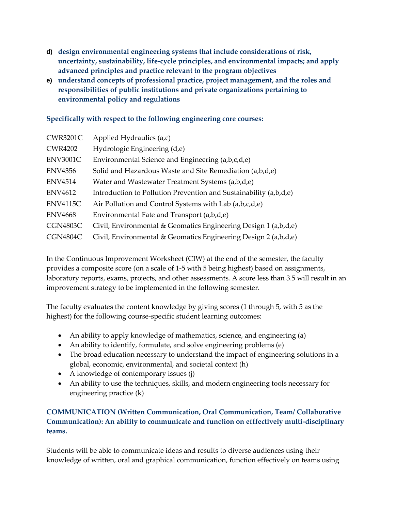- **d) design environmental engineering systems that include considerations of risk, uncertainty, sustainability, life-cycle principles, and environmental impacts; and apply advanced principles and practice relevant to the program objectives**
- **e) understand concepts of professional practice, project management, and the roles and responsibilities of public institutions and private organizations pertaining to environmental policy and regulations**

## **Specifically with respect to the following engineering core courses:**

| <b>CWR3201C</b> | Applied Hydraulics (a,c)                                            |
|-----------------|---------------------------------------------------------------------|
| <b>CWR4202</b>  | Hydrologic Engineering (d,e)                                        |
| <b>ENV3001C</b> | Environmental Science and Engineering (a,b,c,d,e)                   |
| <b>ENV4356</b>  | Solid and Hazardous Waste and Site Remediation (a,b,d,e)            |
| <b>ENV4514</b>  | Water and Wastewater Treatment Systems (a,b,d,e)                    |
| <b>ENV4612</b>  | Introduction to Pollution Prevention and Sustainability $(a,b,d,e)$ |
| <b>ENV4115C</b> | Air Pollution and Control Systems with Lab (a,b,c,d,e)              |
| <b>ENV4668</b>  | Environmental Fate and Transport (a,b,d,e)                          |
| <b>CGN4803C</b> | Civil, Environmental & Geomatics Engineering Design 1 (a,b,d,e)     |
| <b>CGN4804C</b> | Civil, Environmental & Geomatics Engineering Design 2 (a,b,d,e)     |

In the Continuous Improvement Worksheet (CIW) at the end of the semester, the faculty provides a composite score (on a scale of 1-5 with 5 being highest) based on assignments, laboratory reports, exams, projects, and other assessments. A score less than 3.5 will result in an improvement strategy to be implemented in the following semester.

The faculty evaluates the content knowledge by giving scores (1 through 5, with 5 as the highest) for the following course-specific student learning outcomes:

- An ability to apply knowledge of mathematics, science, and engineering (a)
- An ability to identify, formulate, and solve engineering problems (e)
- The broad education necessary to understand the impact of engineering solutions in a global, economic, environmental, and societal context (h)
- A knowledge of contemporary issues (j)
- An ability to use the techniques, skills, and modern engineering tools necessary for engineering practice (k)

## **COMMUNICATION (Written Communication, Oral Communication, Team/ Collaborative Communication): An ability to communicate and function on efffectively multi-disciplinary teams.**

Students will be able to communicate ideas and results to diverse audiences using their knowledge of written, oral and graphical communication, function effectively on teams using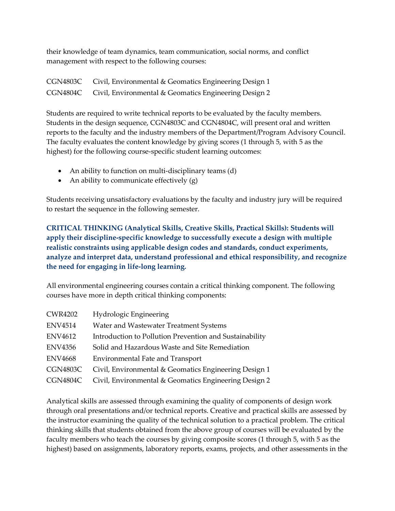their knowledge of team dynamics, team communication, social norms, and conflict management with respect to the following courses:

CGN4803C Civil, Environmental & Geomatics Engineering Design 1 CGN4804C Civil, Environmental & Geomatics Engineering Design 2

Students are required to write technical reports to be evaluated by the faculty members. Students in the design sequence, CGN4803C and CGN4804C, will present oral and written reports to the faculty and the industry members of the Department/Program Advisory Council. The faculty evaluates the content knowledge by giving scores (1 through 5, with 5 as the highest) for the following course-specific student learning outcomes:

- An ability to function on multi-disciplinary teams (d)
- An ability to communicate effectively (g)

Students receiving unsatisfactory evaluations by the faculty and industry jury will be required to restart the sequence in the following semester.

**CRITICAL THINKING (Analytical Skills, Creative Skills, Practical Skills): Students will apply their discipline-specific knowledge to successfully execute a design with multiple realistic constraints using applicable design codes and standards, conduct experiments, analyze and interpret data, understand professional and ethical responsibility, and recognize the need for engaging in life-long learning.**

All environmental engineering courses contain a critical thinking component. The following courses have more in depth critical thinking components:

| <b>CWR4202</b>  | Hydrologic Engineering                                  |
|-----------------|---------------------------------------------------------|
| <b>ENV4514</b>  | Water and Wastewater Treatment Systems                  |
| <b>ENV4612</b>  | Introduction to Pollution Prevention and Sustainability |
| <b>ENV4356</b>  | Solid and Hazardous Waste and Site Remediation          |
| <b>ENV4668</b>  | Environmental Fate and Transport                        |
| <b>CGN4803C</b> | Civil, Environmental & Geomatics Engineering Design 1   |
| CGN4804C        | Civil, Environmental & Geomatics Engineering Design 2   |

Analytical skills are assessed through examining the quality of components of design work through oral presentations and/or technical reports. Creative and practical skills are assessed by the instructor examining the quality of the technical solution to a practical problem. The critical thinking skills that students obtained from the above group of courses will be evaluated by the faculty members who teach the courses by giving composite scores (1 through 5, with 5 as the highest) based on assignments, laboratory reports, exams, projects, and other assessments in the